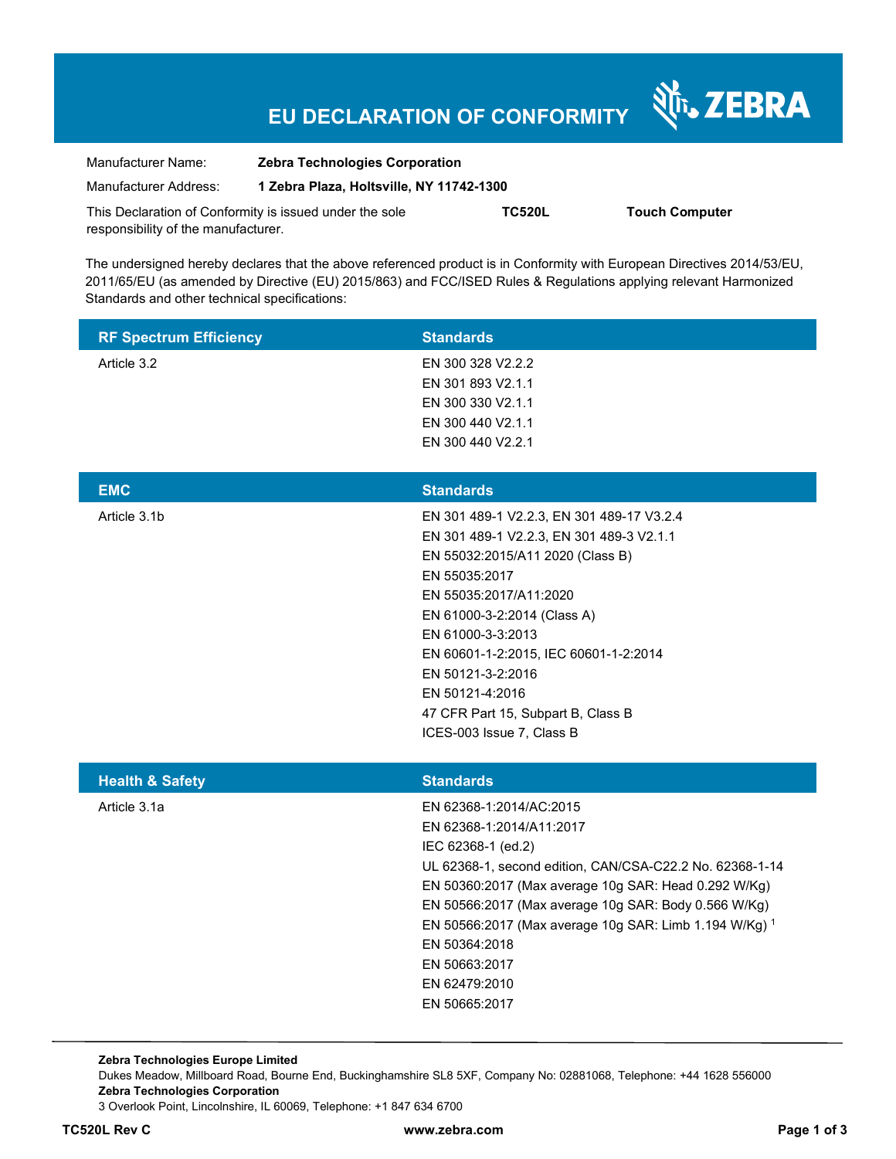# **EU DECLARATION OF CONFORMITY**

श्री<sub>12</sub> ZEBRA

| Manufacturer Name:                                      | <b>Zebra Technologies Corporation</b>    |               |                       |  |
|---------------------------------------------------------|------------------------------------------|---------------|-----------------------|--|
| Manufacturer Address:                                   | 1 Zebra Plaza, Holtsville, NY 11742-1300 |               |                       |  |
| This Declaration of Conformity is issued under the sole |                                          | <b>TC520L</b> | <b>Touch Computer</b> |  |
| responsibility of the manufacturer.                     |                                          |               |                       |  |

The undersigned hereby declares that the above referenced product is in Conformity with European Directives 2014/53/EU, 2011/65/EU (as amended by Directive (EU) 2015/863) and FCC/ISED Rules & Regulations applying relevant Harmonized Standards and other technical specifications:

| <b>RF Spectrum Efficiency</b> | <b>Standards</b>                                                                                                                                                                                                                                                                                                                                                                    |
|-------------------------------|-------------------------------------------------------------------------------------------------------------------------------------------------------------------------------------------------------------------------------------------------------------------------------------------------------------------------------------------------------------------------------------|
| Article 3.2                   | EN 300 328 V2.2.2<br>EN 301 893 V2.1.1<br>EN 300 330 V2.1.1<br>EN 300 440 V2.1.1<br>EN 300 440 V2.2.1                                                                                                                                                                                                                                                                               |
| <b>EMC</b>                    | <b>Standards</b>                                                                                                                                                                                                                                                                                                                                                                    |
| Article 3.1b                  | EN 301 489-1 V2.2.3, EN 301 489-17 V3.2.4<br>EN 301 489-1 V2.2.3, EN 301 489-3 V2.1.1<br>EN 55032:2015/A11 2020 (Class B)<br>EN 55035:2017<br>EN 55035:2017/A11:2020<br>EN 61000-3-2:2014 (Class A)<br>EN 61000-3-3:2013<br>EN 60601-1-2:2015, IEC 60601-1-2:2014<br>EN 50121-3-2:2016<br>EN 50121-4:2016<br>47 CFR Part 15, Subpart B, Class B<br>ICES-003 Issue 7, Class B        |
| <b>Health &amp; Safety</b>    | <b>Standards</b>                                                                                                                                                                                                                                                                                                                                                                    |
| Article 3.1a                  | EN 62368-1:2014/AC:2015<br>EN 62368-1:2014/A11:2017<br>IEC 62368-1 (ed.2)<br>UL 62368-1, second edition, CAN/CSA-C22.2 No. 62368-1-14<br>EN 50360:2017 (Max average 10g SAR: Head 0.292 W/Kg)<br>EN 50566:2017 (Max average 10g SAR: Body 0.566 W/Kg)<br>EN 50566:2017 (Max average 10g SAR: Limb 1.194 W/Kg) 1<br>EN 50364:2018<br>EN 50663:2017<br>EN 62479:2010<br>EN 50665:2017 |

**Zebra Technologies Europe Limited**  Dukes Meadow, Millboard Road, Bourne End, Buckinghamshire SL8 5XF, Company No: 02881068, Telephone: +44 1628 556000 **Zebra Technologies Corporation**  3 Overlook Point, Lincolnshire, IL 60069, Telephone: +1 847 634 6700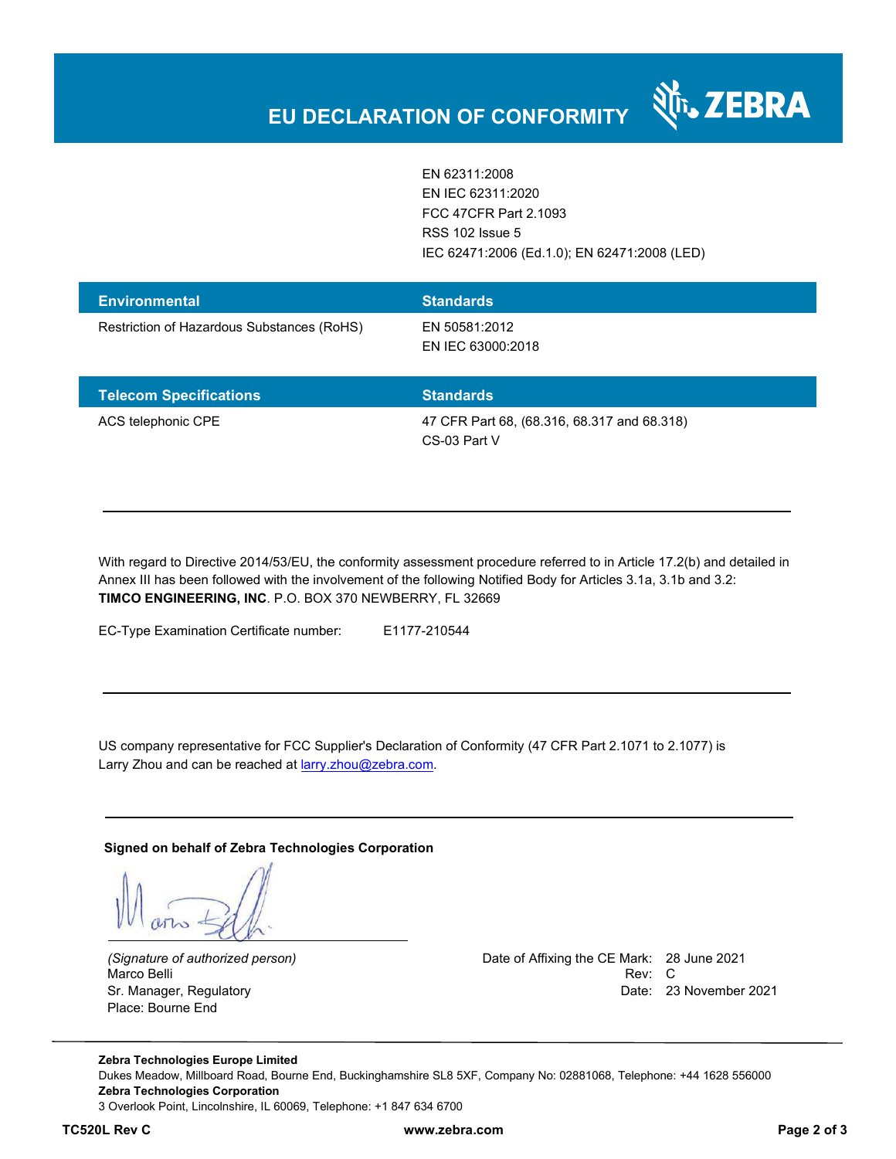EN 62311:2008 EN IEC 62311:2020 FCC 47CFR Part 2.1093 RSS 102 Issue 5 IEC 62471:2006 (Ed.1.0); EN 62471:2008 (LED)

र्शे<sub>ं</sub> ZEBRA

| <b>Environmental</b>                       | <b>Standards</b>                   |
|--------------------------------------------|------------------------------------|
| Restriction of Hazardous Substances (RoHS) | EN 50581:2012<br>EN IEC 63000:2018 |

| <b>Telecom Specifications</b> | <b>Standards</b>                            |
|-------------------------------|---------------------------------------------|
| ACS telephonic CPE            | 47 CFR Part 68, (68.316, 68.317 and 68.318) |
|                               | CS-03 Part V                                |

With regard to Directive 2014/53/EU, the conformity assessment procedure referred to in Article 17.2(b) and detailed in Annex III has been followed with the involvement of the following Notified Body for Articles 3.1a, 3.1b and 3.2: **TIMCO ENGINEERING, INC**. P.O. BOX 370 NEWBERRY, FL 32669

EC-Type Examination Certificate number: E1177-210544

US company representative for FCC Supplier's Declaration of Conformity (47 CFR Part 2.1071 to 2.1077) is Larry Zhou and can be reached at **larry.zhou@zebra.com.** 

**Signed on behalf of Zebra Technologies Corporation** 

Place: Bourne End

*(Signature of authorized person)* Date of Affixing the CE Mark: 28 June 2021 Marco Belli Rev: Compared to the control of the control of the control of the control of the control of the control of the control of the control of the control of the control of the control of the control of the control o Sr. Manager, Regulatory **Date: 23 November 2021** 

**Zebra Technologies Europe Limited**  Dukes Meadow, Millboard Road, Bourne End, Buckinghamshire SL8 5XF, Company No: 02881068, Telephone: +44 1628 556000 **Zebra Technologies Corporation**  3 Overlook Point, Lincolnshire, IL 60069, Telephone: +1 847 634 6700

**TC520L Rev C www.zebra.com Page 2 of 3**